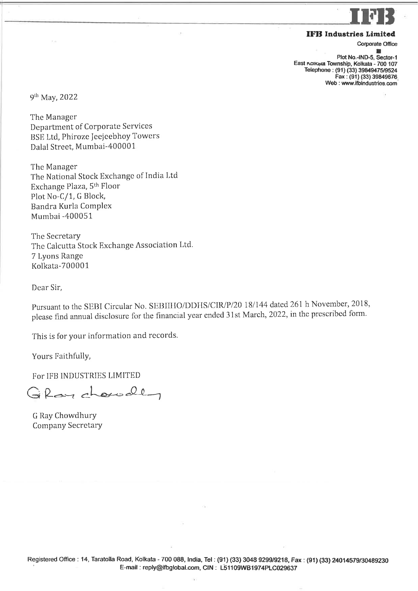## rFll **IFB** Industries Limited

Corporate Office

I Plot No.-IND-5, Sector-East Kolkata Township, Kolkata - 700 107 Telephone: (91) (33) 39849475/9524 Fax : (91) (33) 39849676 Web : www.ifbindustries.com

9th May,2022

The Manager Department of Corporate Services BSE Ltd, Phiroze JeejeebhoY Towers Dalal Street, Mumbai-400001

The Manager The National Stock Exchange of India Ltd Exchange Plaza, 5th Floor PIot No-C/1, G Block, Bandra Kurla Complex Mumbai -400051

Thc Secretary The Calcutta Stock Exchange Association Ltd. 7 Lyons Range Kolkata-700001

Dcar Sir,

Pursuant to the SEBI Circular No. SEBIIHO/DDHS/CIR/P/20 18/144 dated 261 h November, 2018, please find annual disclosure for the financial year ended 31st March, 2022, in the prescribed form.

This is for your information and records.

Yours Faithfully,

For IFB INDUSTRIES LIMITED

 $G$  Ray choundly

G Ray Chowdhury Company Secretary